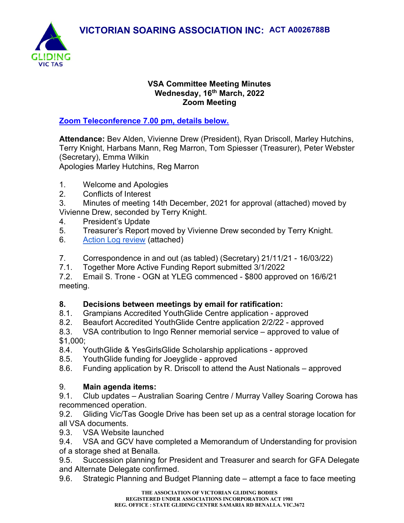

#### VSA Committee Meeting Minutes Wednesday, 16<sup>th</sup> March, 2022 Zoom Meeting

## Zoom Teleconference 7.00 pm, details below.

Attendance: Bev Alden, Vivienne Drew (President), Ryan Driscoll, Marley Hutchins, Terry Knight, Harbans Mann, Reg Marron, Tom Spiesser (Treasurer), Peter Webster (Secretary), Emma Wilkin

Apologies Marley Hutchins, Reg Marron

- 1. Welcome and Apologies
- 2. Conflicts of Interest
- 3. Minutes of meeting 14th December, 2021 for approval (attached) moved by Vivienne Drew, seconded by Terry Knight.
- 4. President's Update
- 5. Treasurer's Report moved by Vivienne Drew seconded by Terry Knight.
- 6. Action Log review (attached)
- 7. Correspondence in and out (as tabled) (Secretary) 21/11/21 16/03/22)
- 7.1. Together More Active Funding Report submitted 3/1/2022

7.2. Email S. Trone - OGN at YLEG commenced - \$800 approved on 16/6/21 meeting.

## 8. Decisions between meetings by email for ratification:

- 8.1. Grampians Accredited YouthGlide Centre application approved
- 8.2. Beaufort Accredited YouthGlide Centre application 2/2/22 approved

8.3. VSA contribution to Ingo Renner memorial service – approved to value of \$1,000;

- 8.4. YouthGlide & YesGirlsGlide Scholarship applications approved
- 8.5. YouthGlide funding for Joeyglide approved
- 8.6. Funding application by R. Driscoll to attend the Aust Nationals approved

# 9. Main agenda items:

9.1. Club updates – Australian Soaring Centre / Murray Valley Soaring Corowa has recommenced operation.

9.2. Gliding Vic/Tas Google Drive has been set up as a central storage location for all VSA documents.

9.3. VSA Website launched

9.4. VSA and GCV have completed a Memorandum of Understanding for provision of a storage shed at Benalla.

9.5. Succession planning for President and Treasurer and search for GFA Delegate and Alternate Delegate confirmed.

9.6. Strategic Planning and Budget Planning date – attempt a face to face meeting